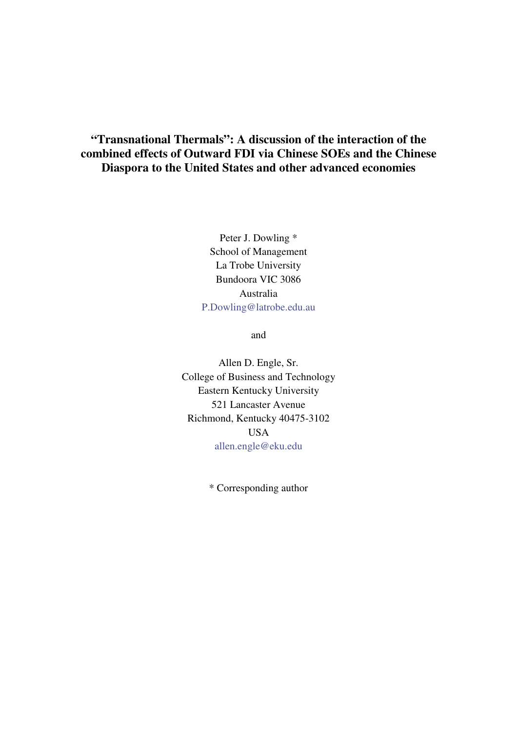# **"Transnational Thermals": A discussion of the interaction of the combined effects of Outward FDI via Chinese SOEs and the Chinese Diaspora to the United States and other advanced economies**

Peter J. Dowling \* School of Management La Trobe University Bundoora VIC 3086 Australia P.Dowling@latrobe.edu.au

and

Allen D. Engle, Sr. College of Business and Technology Eastern Kentucky University 521 Lancaster Avenue Richmond, Kentucky 40475-3102 USA allen.engle@eku.edu

\* Corresponding author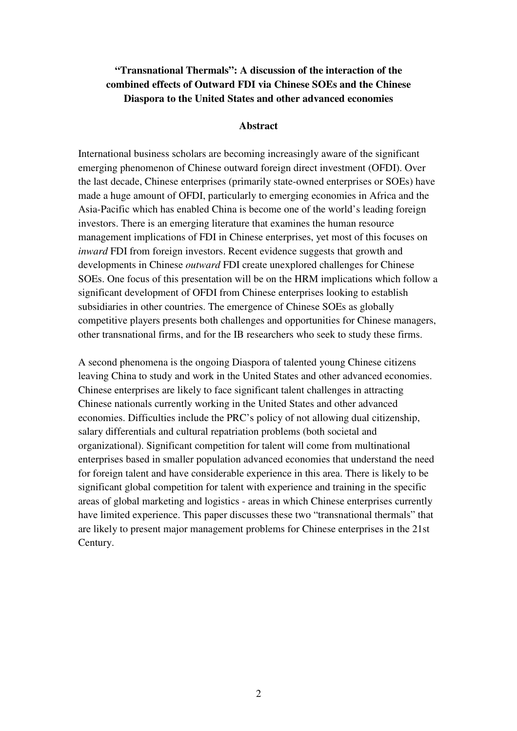# **"Transnational Thermals": A discussion of the interaction of the combined effects of Outward FDI via Chinese SOEs and the Chinese Diaspora to the United States and other advanced economies**

### **Abstract**

International business scholars are becoming increasingly aware of the significant emerging phenomenon of Chinese outward foreign direct investment (OFDI). Over the last decade, Chinese enterprises (primarily state-owned enterprises or SOEs) have made a huge amount of OFDI, particularly to emerging economies in Africa and the Asia-Pacific which has enabled China is become one of the world's leading foreign investors. There is an emerging literature that examines the human resource management implications of FDI in Chinese enterprises, yet most of this focuses on *inward* FDI from foreign investors. Recent evidence suggests that growth and developments in Chinese *outward* FDI create unexplored challenges for Chinese SOEs. One focus of this presentation will be on the HRM implications which follow a significant development of OFDI from Chinese enterprises looking to establish subsidiaries in other countries. The emergence of Chinese SOEs as globally competitive players presents both challenges and opportunities for Chinese managers, other transnational firms, and for the IB researchers who seek to study these firms.

A second phenomena is the ongoing Diaspora of talented young Chinese citizens leaving China to study and work in the United States and other advanced economies. Chinese enterprises are likely to face significant talent challenges in attracting Chinese nationals currently working in the United States and other advanced economies. Difficulties include the PRC's policy of not allowing dual citizenship, salary differentials and cultural repatriation problems (both societal and organizational). Significant competition for talent will come from multinational enterprises based in smaller population advanced economies that understand the need for foreign talent and have considerable experience in this area. There is likely to be significant global competition for talent with experience and training in the specific areas of global marketing and logistics - areas in which Chinese enterprises currently have limited experience. This paper discusses these two "transnational thermals" that are likely to present major management problems for Chinese enterprises in the 21st Century.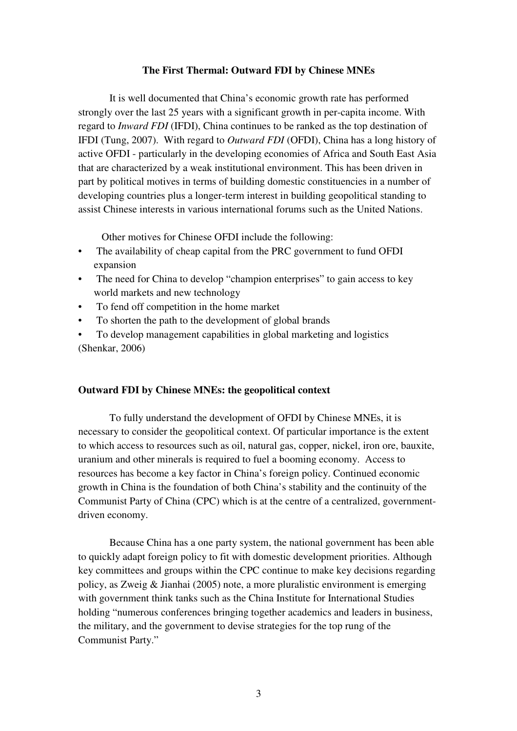### **The First Thermal: Outward FDI by Chinese MNEs**

It is well documented that China's economic growth rate has performed strongly over the last 25 years with a significant growth in per-capita income. With regard to *Inward FDI* (IFDI), China continues to be ranked as the top destination of IFDI (Tung, 2007). With regard to *Outward FDI* (OFDI), China has a long history of active OFDI - particularly in the developing economies of Africa and South East Asia that are characterized by a weak institutional environment. This has been driven in part by political motives in terms of building domestic constituencies in a number of developing countries plus a longer-term interest in building geopolitical standing to assist Chinese interests in various international forums such as the United Nations.

Other motives for Chinese OFDI include the following:

- The availability of cheap capital from the PRC government to fund OFDI expansion
- The need for China to develop "champion enterprises" to gain access to key world markets and new technology
- To fend off competition in the home market
- To shorten the path to the development of global brands
- To develop management capabilities in global marketing and logistics (Shenkar, 2006)

### **Outward FDI by Chinese MNEs: the geopolitical context**

To fully understand the development of OFDI by Chinese MNEs, it is necessary to consider the geopolitical context. Of particular importance is the extent to which access to resources such as oil, natural gas, copper, nickel, iron ore, bauxite, uranium and other minerals is required to fuel a booming economy. Access to resources has become a key factor in China's foreign policy. Continued economic growth in China is the foundation of both China's stability and the continuity of the Communist Party of China (CPC) which is at the centre of a centralized, governmentdriven economy.

Because China has a one party system, the national government has been able to quickly adapt foreign policy to fit with domestic development priorities. Although key committees and groups within the CPC continue to make key decisions regarding policy, as Zweig & Jianhai (2005) note, a more pluralistic environment is emerging with government think tanks such as the China Institute for International Studies holding "numerous conferences bringing together academics and leaders in business, the military, and the government to devise strategies for the top rung of the Communist Party."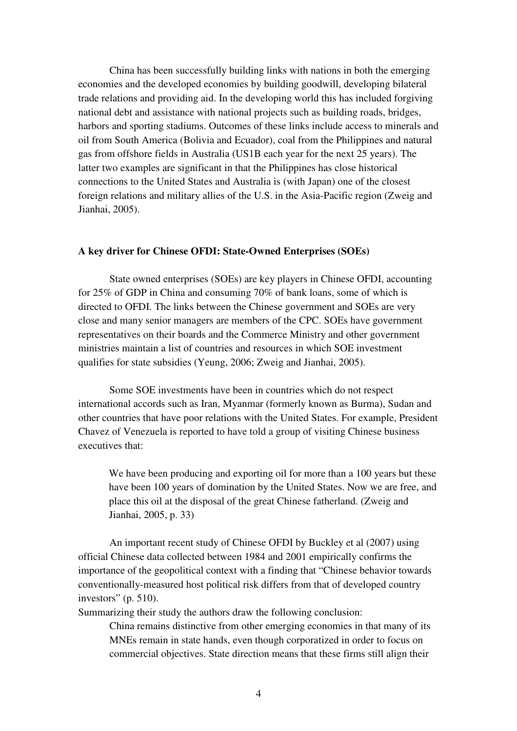China has been successfully building links with nations in both the emerging economies and the developed economies by building goodwill, developing bilateral trade relations and providing aid. In the developing world this has included forgiving national debt and assistance with national projects such as building roads, bridges, harbors and sporting stadiums. Outcomes of these links include access to minerals and oil from South America (Bolivia and Ecuador), coal from the Philippines and natural gas from offshore fields in Australia (US1B each year for the next 25 years). The latter two examples are significant in that the Philippines has close historical connections to the United States and Australia is (with Japan) one of the closest foreign relations and military allies of the U.S. in the Asia-Pacific region (Zweig and Jianhai, 2005).

### **A key driver for Chinese OFDI: State-Owned Enterprises (SOEs)**

State owned enterprises (SOEs) are key players in Chinese OFDI, accounting for 25% of GDP in China and consuming 70% of bank loans, some of which is directed to OFDI. The links between the Chinese government and SOEs are very close and many senior managers are members of the CPC. SOEs have government representatives on their boards and the Commerce Ministry and other government ministries maintain a list of countries and resources in which SOE investment qualifies for state subsidies (Yeung, 2006; Zweig and Jianhai, 2005).

Some SOE investments have been in countries which do not respect international accords such as Iran, Myanmar (formerly known as Burma), Sudan and other countries that have poor relations with the United States. For example, President Chavez of Venezuela is reported to have told a group of visiting Chinese business executives that:

We have been producing and exporting oil for more than a 100 years but these have been 100 years of domination by the United States. Now we are free, and place this oil at the disposal of the great Chinese fatherland. (Zweig and Jianhai, 2005, p. 33)

An important recent study of Chinese OFDI by Buckley et al (2007) using official Chinese data collected between 1984 and 2001 empirically confirms the importance of the geopolitical context with a finding that "Chinese behavior towards conventionally-measured host political risk differs from that of developed country investors" (p. 510).

Summarizing their study the authors draw the following conclusion:

China remains distinctive from other emerging economies in that many of its MNEs remain in state hands, even though corporatized in order to focus on commercial objectives. State direction means that these firms still align their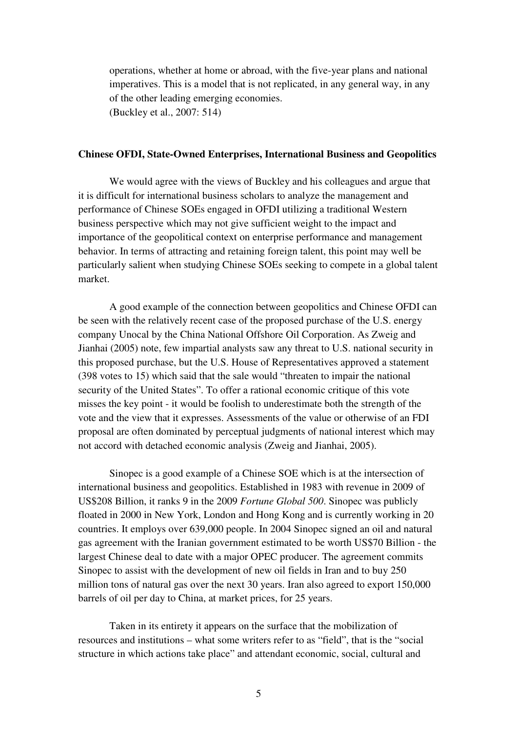operations, whether at home or abroad, with the five-year plans and national imperatives. This is a model that is not replicated, in any general way, in any of the other leading emerging economies. (Buckley et al., 2007: 514)

### **Chinese OFDI, State-Owned Enterprises, International Business and Geopolitics**

We would agree with the views of Buckley and his colleagues and argue that it is difficult for international business scholars to analyze the management and performance of Chinese SOEs engaged in OFDI utilizing a traditional Western business perspective which may not give sufficient weight to the impact and importance of the geopolitical context on enterprise performance and management behavior. In terms of attracting and retaining foreign talent, this point may well be particularly salient when studying Chinese SOEs seeking to compete in a global talent market.

A good example of the connection between geopolitics and Chinese OFDI can be seen with the relatively recent case of the proposed purchase of the U.S. energy company Unocal by the China National Offshore Oil Corporation. As Zweig and Jianhai (2005) note, few impartial analysts saw any threat to U.S. national security in this proposed purchase, but the U.S. House of Representatives approved a statement (398 votes to 15) which said that the sale would "threaten to impair the national security of the United States". To offer a rational economic critique of this vote misses the key point - it would be foolish to underestimate both the strength of the vote and the view that it expresses. Assessments of the value or otherwise of an FDI proposal are often dominated by perceptual judgments of national interest which may not accord with detached economic analysis (Zweig and Jianhai, 2005).

Sinopec is a good example of a Chinese SOE which is at the intersection of international business and geopolitics. Established in 1983 with revenue in 2009 of US\$208 Billion, it ranks 9 in the 2009 *Fortune Global 500*. Sinopec was publicly floated in 2000 in New York, London and Hong Kong and is currently working in 20 countries. It employs over 639,000 people. In 2004 Sinopec signed an oil and natural gas agreement with the Iranian government estimated to be worth US\$70 Billion - the largest Chinese deal to date with a major OPEC producer. The agreement commits Sinopec to assist with the development of new oil fields in Iran and to buy 250 million tons of natural gas over the next 30 years. Iran also agreed to export 150,000 barrels of oil per day to China, at market prices, for 25 years.

Taken in its entirety it appears on the surface that the mobilization of resources and institutions – what some writers refer to as "field", that is the "social structure in which actions take place" and attendant economic, social, cultural and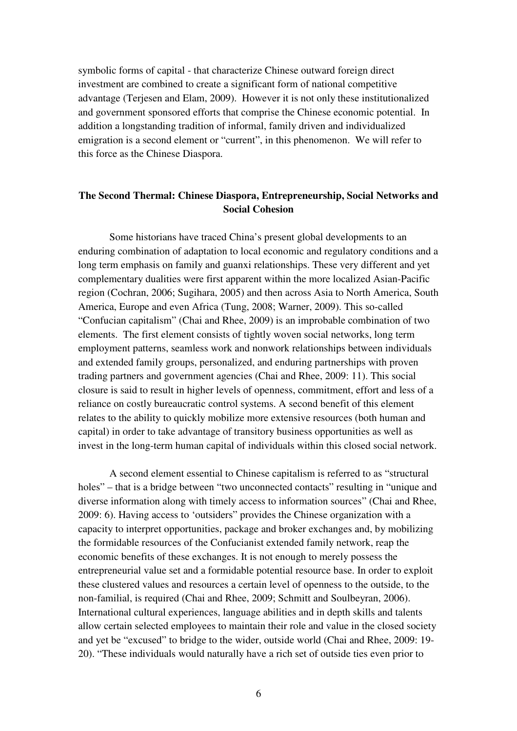symbolic forms of capital - that characterize Chinese outward foreign direct investment are combined to create a significant form of national competitive advantage (Terjesen and Elam, 2009). However it is not only these institutionalized and government sponsored efforts that comprise the Chinese economic potential. In addition a longstanding tradition of informal, family driven and individualized emigration is a second element or "current", in this phenomenon. We will refer to this force as the Chinese Diaspora.

## **The Second Thermal: Chinese Diaspora, Entrepreneurship, Social Networks and Social Cohesion**

Some historians have traced China's present global developments to an enduring combination of adaptation to local economic and regulatory conditions and a long term emphasis on family and guanxi relationships. These very different and yet complementary dualities were first apparent within the more localized Asian-Pacific region (Cochran, 2006; Sugihara, 2005) and then across Asia to North America, South America, Europe and even Africa (Tung, 2008; Warner, 2009). This so-called "Confucian capitalism" (Chai and Rhee, 2009) is an improbable combination of two elements. The first element consists of tightly woven social networks, long term employment patterns, seamless work and nonwork relationships between individuals and extended family groups, personalized, and enduring partnerships with proven trading partners and government agencies (Chai and Rhee, 2009: 11). This social closure is said to result in higher levels of openness, commitment, effort and less of a reliance on costly bureaucratic control systems. A second benefit of this element relates to the ability to quickly mobilize more extensive resources (both human and capital) in order to take advantage of transitory business opportunities as well as invest in the long-term human capital of individuals within this closed social network.

 A second element essential to Chinese capitalism is referred to as "structural holes" – that is a bridge between "two unconnected contacts" resulting in "unique and diverse information along with timely access to information sources" (Chai and Rhee, 2009: 6). Having access to 'outsiders" provides the Chinese organization with a capacity to interpret opportunities, package and broker exchanges and, by mobilizing the formidable resources of the Confucianist extended family network, reap the economic benefits of these exchanges. It is not enough to merely possess the entrepreneurial value set and a formidable potential resource base. In order to exploit these clustered values and resources a certain level of openness to the outside, to the non-familial, is required (Chai and Rhee, 2009; Schmitt and Soulbeyran, 2006). International cultural experiences, language abilities and in depth skills and talents allow certain selected employees to maintain their role and value in the closed society and yet be "excused" to bridge to the wider, outside world (Chai and Rhee, 2009: 19- 20). "These individuals would naturally have a rich set of outside ties even prior to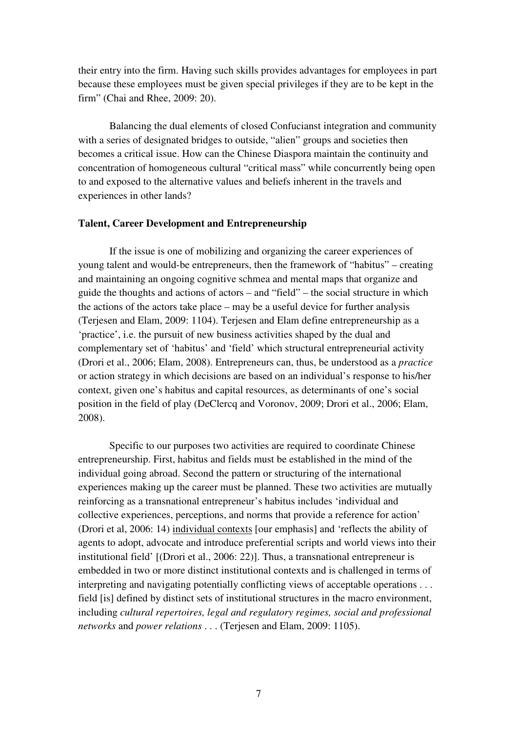their entry into the firm. Having such skills provides advantages for employees in part because these employees must be given special privileges if they are to be kept in the firm" (Chai and Rhee, 2009: 20).

 Balancing the dual elements of closed Confucianst integration and community with a series of designated bridges to outside, "alien" groups and societies then becomes a critical issue. How can the Chinese Diaspora maintain the continuity and concentration of homogeneous cultural "critical mass" while concurrently being open to and exposed to the alternative values and beliefs inherent in the travels and experiences in other lands?

### **Talent, Career Development and Entrepreneurship**

If the issue is one of mobilizing and organizing the career experiences of young talent and would-be entrepreneurs, then the framework of "habitus" – creating and maintaining an ongoing cognitive schmea and mental maps that organize and guide the thoughts and actions of actors – and "field" – the social structure in which the actions of the actors take place – may be a useful device for further analysis (Terjesen and Elam, 2009: 1104). Terjesen and Elam define entrepreneurship as a 'practice', i.e. the pursuit of new business activities shaped by the dual and complementary set of 'habitus' and 'field' which structural entrepreneurial activity (Drori et al., 2006; Elam, 2008). Entrepreneurs can, thus, be understood as a *practice*  or action strategy in which decisions are based on an individual's response to his/her context, given one's habitus and capital resources, as determinants of one's social position in the field of play (DeClercq and Voronov, 2009; Drori et al., 2006; Elam, 2008).

 Specific to our purposes two activities are required to coordinate Chinese entrepreneurship. First, habitus and fields must be established in the mind of the individual going abroad. Second the pattern or structuring of the international experiences making up the career must be planned. These two activities are mutually reinforcing as a transnational entrepreneur's habitus includes 'individual and collective experiences, perceptions, and norms that provide a reference for action' (Drori et al, 2006: 14) individual contexts [our emphasis] and 'reflects the ability of agents to adopt, advocate and introduce preferential scripts and world views into their institutional field' [(Drori et al., 2006: 22)]. Thus, a transnational entrepreneur is embedded in two or more distinct institutional contexts and is challenged in terms of interpreting and navigating potentially conflicting views of acceptable operations . . . field [is] defined by distinct sets of institutional structures in the macro environment, including *cultural repertoires, legal and regulatory regimes, social and professional networks* and *power relations* . . . (Terjesen and Elam, 2009: 1105).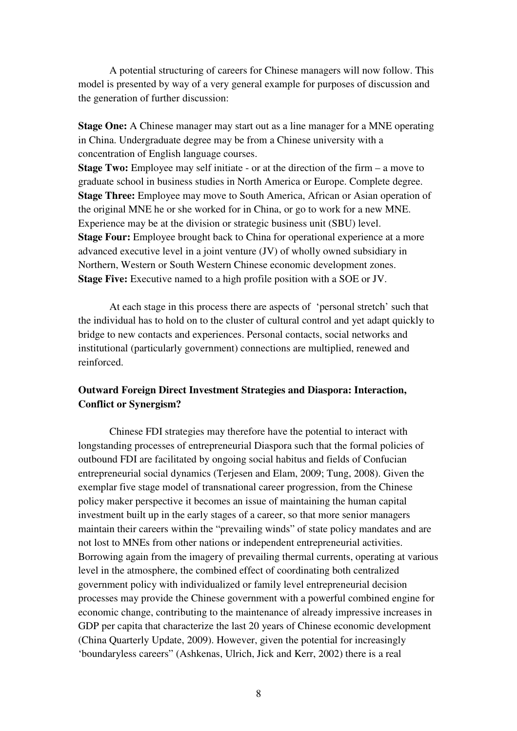A potential structuring of careers for Chinese managers will now follow. This model is presented by way of a very general example for purposes of discussion and the generation of further discussion:

**Stage One:** A Chinese manager may start out as a line manager for a MNE operating in China. Undergraduate degree may be from a Chinese university with a concentration of English language courses.

**Stage Two:** Employee may self initiate - or at the direction of the firm – a move to graduate school in business studies in North America or Europe. Complete degree. **Stage Three:** Employee may move to South America, African or Asian operation of the original MNE he or she worked for in China, or go to work for a new MNE. Experience may be at the division or strategic business unit (SBU) level. **Stage Four:** Employee brought back to China for operational experience at a more advanced executive level in a joint venture (JV) of wholly owned subsidiary in Northern, Western or South Western Chinese economic development zones. **Stage Five:** Executive named to a high profile position with a SOE or JV.

 At each stage in this process there are aspects of 'personal stretch' such that the individual has to hold on to the cluster of cultural control and yet adapt quickly to bridge to new contacts and experiences. Personal contacts, social networks and institutional (particularly government) connections are multiplied, renewed and reinforced.

### **Outward Foreign Direct Investment Strategies and Diaspora: Interaction, Conflict or Synergism?**

 Chinese FDI strategies may therefore have the potential to interact with longstanding processes of entrepreneurial Diaspora such that the formal policies of outbound FDI are facilitated by ongoing social habitus and fields of Confucian entrepreneurial social dynamics (Terjesen and Elam, 2009; Tung, 2008). Given the exemplar five stage model of transnational career progression, from the Chinese policy maker perspective it becomes an issue of maintaining the human capital investment built up in the early stages of a career, so that more senior managers maintain their careers within the "prevailing winds" of state policy mandates and are not lost to MNEs from other nations or independent entrepreneurial activities. Borrowing again from the imagery of prevailing thermal currents, operating at various level in the atmosphere, the combined effect of coordinating both centralized government policy with individualized or family level entrepreneurial decision processes may provide the Chinese government with a powerful combined engine for economic change, contributing to the maintenance of already impressive increases in GDP per capita that characterize the last 20 years of Chinese economic development (China Quarterly Update, 2009). However, given the potential for increasingly 'boundaryless careers" (Ashkenas, Ulrich, Jick and Kerr, 2002) there is a real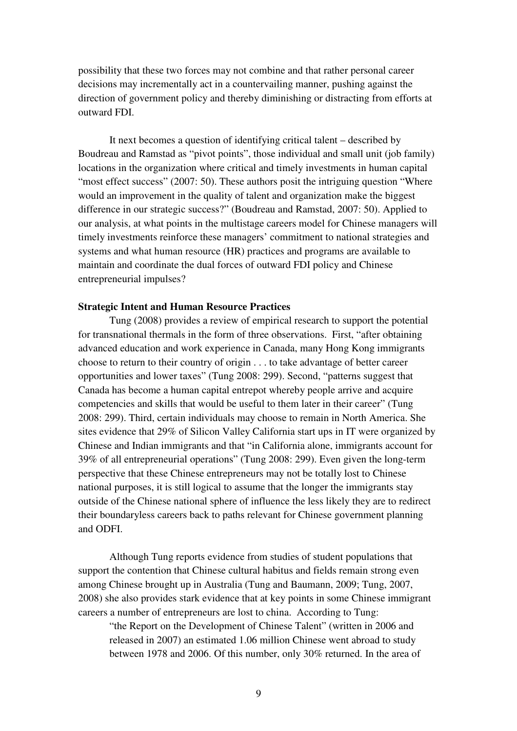possibility that these two forces may not combine and that rather personal career decisions may incrementally act in a countervailing manner, pushing against the direction of government policy and thereby diminishing or distracting from efforts at outward FDI.

 It next becomes a question of identifying critical talent – described by Boudreau and Ramstad as "pivot points", those individual and small unit (job family) locations in the organization where critical and timely investments in human capital "most effect success" (2007: 50). These authors posit the intriguing question "Where" would an improvement in the quality of talent and organization make the biggest difference in our strategic success?" (Boudreau and Ramstad, 2007: 50). Applied to our analysis, at what points in the multistage careers model for Chinese managers will timely investments reinforce these managers' commitment to national strategies and systems and what human resource (HR) practices and programs are available to maintain and coordinate the dual forces of outward FDI policy and Chinese entrepreneurial impulses?

### **Strategic Intent and Human Resource Practices**

Tung (2008) provides a review of empirical research to support the potential for transnational thermals in the form of three observations. First, "after obtaining advanced education and work experience in Canada, many Hong Kong immigrants choose to return to their country of origin . . . to take advantage of better career opportunities and lower taxes" (Tung 2008: 299). Second, "patterns suggest that Canada has become a human capital entrepot whereby people arrive and acquire competencies and skills that would be useful to them later in their career" (Tung 2008: 299). Third, certain individuals may choose to remain in North America. She sites evidence that 29% of Silicon Valley California start ups in IT were organized by Chinese and Indian immigrants and that "in California alone, immigrants account for 39% of all entrepreneurial operations" (Tung 2008: 299). Even given the long-term perspective that these Chinese entrepreneurs may not be totally lost to Chinese national purposes, it is still logical to assume that the longer the immigrants stay outside of the Chinese national sphere of influence the less likely they are to redirect their boundaryless careers back to paths relevant for Chinese government planning and ODFI.

 Although Tung reports evidence from studies of student populations that support the contention that Chinese cultural habitus and fields remain strong even among Chinese brought up in Australia (Tung and Baumann, 2009; Tung, 2007, 2008) she also provides stark evidence that at key points in some Chinese immigrant careers a number of entrepreneurs are lost to china. According to Tung:

"the Report on the Development of Chinese Talent" (written in 2006 and released in 2007) an estimated 1.06 million Chinese went abroad to study between 1978 and 2006. Of this number, only 30% returned. In the area of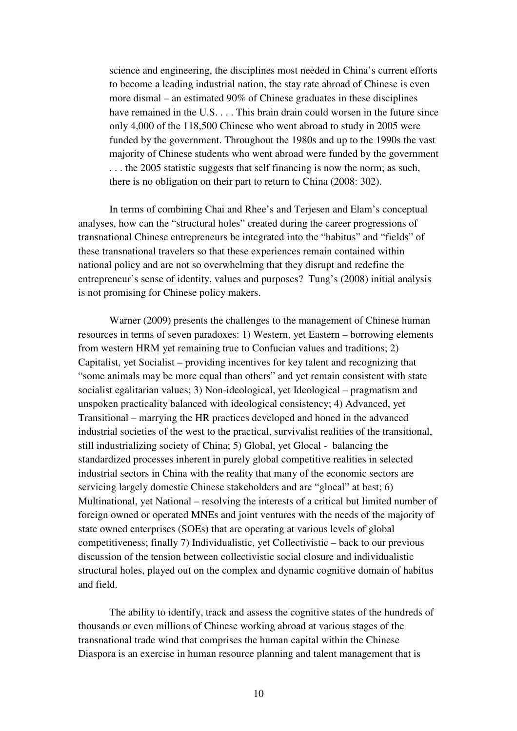science and engineering, the disciplines most needed in China's current efforts to become a leading industrial nation, the stay rate abroad of Chinese is even more dismal – an estimated 90% of Chinese graduates in these disciplines have remained in the U.S. . . . This brain drain could worsen in the future since only 4,000 of the 118,500 Chinese who went abroad to study in 2005 were funded by the government. Throughout the 1980s and up to the 1990s the vast majority of Chinese students who went abroad were funded by the government . . . the 2005 statistic suggests that self financing is now the norm; as such, there is no obligation on their part to return to China (2008: 302).

 In terms of combining Chai and Rhee's and Terjesen and Elam's conceptual analyses, how can the "structural holes" created during the career progressions of transnational Chinese entrepreneurs be integrated into the "habitus" and "fields" of these transnational travelers so that these experiences remain contained within national policy and are not so overwhelming that they disrupt and redefine the entrepreneur's sense of identity, values and purposes? Tung's (2008) initial analysis is not promising for Chinese policy makers.

 Warner (2009) presents the challenges to the management of Chinese human resources in terms of seven paradoxes: 1) Western, yet Eastern – borrowing elements from western HRM yet remaining true to Confucian values and traditions; 2) Capitalist, yet Socialist – providing incentives for key talent and recognizing that "some animals may be more equal than others" and yet remain consistent with state socialist egalitarian values; 3) Non-ideological, yet Ideological – pragmatism and unspoken practicality balanced with ideological consistency; 4) Advanced, yet Transitional – marrying the HR practices developed and honed in the advanced industrial societies of the west to the practical, survivalist realities of the transitional, still industrializing society of China; 5) Global, yet Glocal - balancing the standardized processes inherent in purely global competitive realities in selected industrial sectors in China with the reality that many of the economic sectors are servicing largely domestic Chinese stakeholders and are "glocal" at best; 6) Multinational, yet National – resolving the interests of a critical but limited number of foreign owned or operated MNEs and joint ventures with the needs of the majority of state owned enterprises (SOEs) that are operating at various levels of global competitiveness; finally 7) Individualistic, yet Collectivistic – back to our previous discussion of the tension between collectivistic social closure and individualistic structural holes, played out on the complex and dynamic cognitive domain of habitus and field.

 The ability to identify, track and assess the cognitive states of the hundreds of thousands or even millions of Chinese working abroad at various stages of the transnational trade wind that comprises the human capital within the Chinese Diaspora is an exercise in human resource planning and talent management that is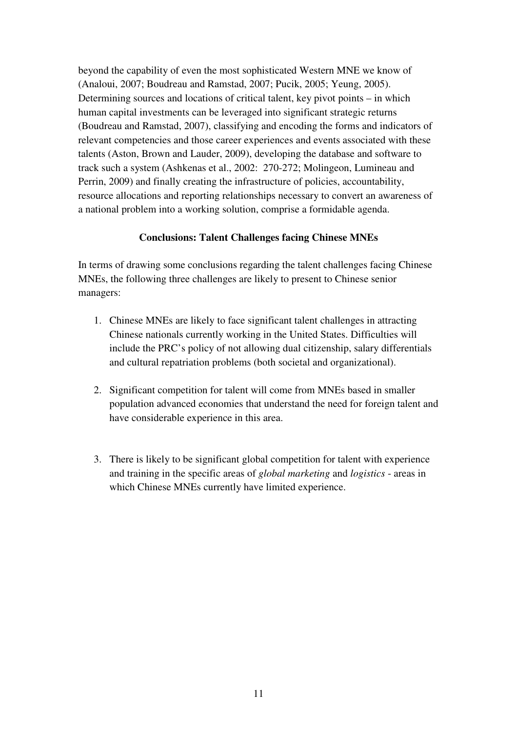beyond the capability of even the most sophisticated Western MNE we know of (Analoui, 2007; Boudreau and Ramstad, 2007; Pucik, 2005; Yeung, 2005). Determining sources and locations of critical talent, key pivot points – in which human capital investments can be leveraged into significant strategic returns (Boudreau and Ramstad, 2007), classifying and encoding the forms and indicators of relevant competencies and those career experiences and events associated with these talents (Aston, Brown and Lauder, 2009), developing the database and software to track such a system (Ashkenas et al., 2002: 270-272; Molingeon, Lumineau and Perrin, 2009) and finally creating the infrastructure of policies, accountability, resource allocations and reporting relationships necessary to convert an awareness of a national problem into a working solution, comprise a formidable agenda.

### **Conclusions: Talent Challenges facing Chinese MNEs**

In terms of drawing some conclusions regarding the talent challenges facing Chinese MNEs, the following three challenges are likely to present to Chinese senior managers:

- 1. Chinese MNEs are likely to face significant talent challenges in attracting Chinese nationals currently working in the United States. Difficulties will include the PRC's policy of not allowing dual citizenship, salary differentials and cultural repatriation problems (both societal and organizational).
- 2. Significant competition for talent will come from MNEs based in smaller population advanced economies that understand the need for foreign talent and have considerable experience in this area.
- 3. There is likely to be significant global competition for talent with experience and training in the specific areas of *global marketing* and *logistics* - areas in which Chinese MNEs currently have limited experience.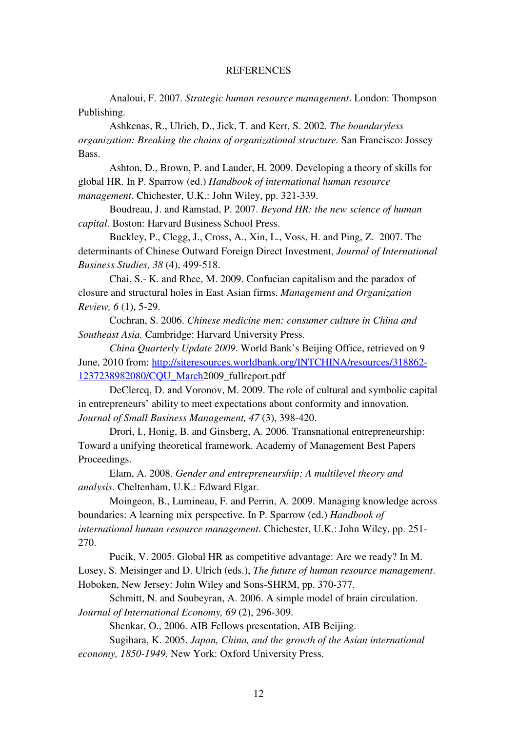#### **REFERENCES**

Analoui, F. 2007. *Strategic human resource management*. London: Thompson Publishing.

 Ashkenas, R., Ulrich, D., Jick, T. and Kerr, S. 2002. *The boundaryless organization: Breaking the chains of organizational structure.* San Francisco: Jossey Bass.

 Ashton, D., Brown, P. and Lauder, H. 2009. Developing a theory of skills for global HR. In P. Sparrow (ed.) *Handbook of international human resource management*. Chichester, U.K.: John Wiley, pp. 321-339.

Boudreau, J. and Ramstad, P. 2007. *Beyond HR: the new science of human capital*. Boston: Harvard Business School Press.

Buckley, P., Clegg, J., Cross, A., Xin, L., Voss, H. and Ping, Z. 2007. The determinants of Chinese Outward Foreign Direct Investment, *Journal of International Business Studies, 38* (4), 499-518.

Chai, S.- K. and Rhee, M. 2009. Confucian capitalism and the paradox of closure and structural holes in East Asian firms. *Management and Organization Review, 6* (1), 5-29.

Cochran, S. 2006. *Chinese medicine men: consumer culture in China and Southeast Asia.* Cambridge: Harvard University Press.

*China Quarterly Update 2009*. World Bank's Beijing Office, retrieved on 9 June, 2010 from: http://siteresources.worldbank.org/INTCHINA/resources/318862- 1237238982080/CQU\_March2009\_fullreport.pdf

DeClercq, D. and Voronov, M. 2009. The role of cultural and symbolic capital in entrepreneurs' ability to meet expectations about conformity and innovation. *Journal of Small Business Management, 47* (3), 398-420.

Drori, I., Honig, B. and Ginsberg, A. 2006. Transnational entrepreneurship: Toward a unifying theoretical framework. Academy of Management Best Papers Proceedings.

Elam, A. 2008. *Gender and entrepreneurship: A multilevel theory and analysis.* Cheltenham, U.K.: Edward Elgar.

Moingeon, B., Lumineau, F. and Perrin, A. 2009. Managing knowledge across boundaries: A learning mix perspective. In P. Sparrow (ed.) *Handbook of international human resource management*. Chichester, U.K.: John Wiley, pp. 251- 270.

Pucik, V. 2005. Global HR as competitive advantage: Are we ready? In M. Losey, S. Meisinger and D. Ulrich (eds.), *The future of human resource management*. Hoboken, New Jersey: John Wiley and Sons-SHRM, pp. 370-377.

Schmitt, N. and Soubeyran, A. 2006. A simple model of brain circulation. *Journal of International Economy, 69* (2), 296-309.

Shenkar, O., 2006. AIB Fellows presentation, AIB Beijing.

Sugihara, K. 2005. *Japan, China, and the growth of the Asian international economy, 1850-1949.* New York: Oxford University Press.